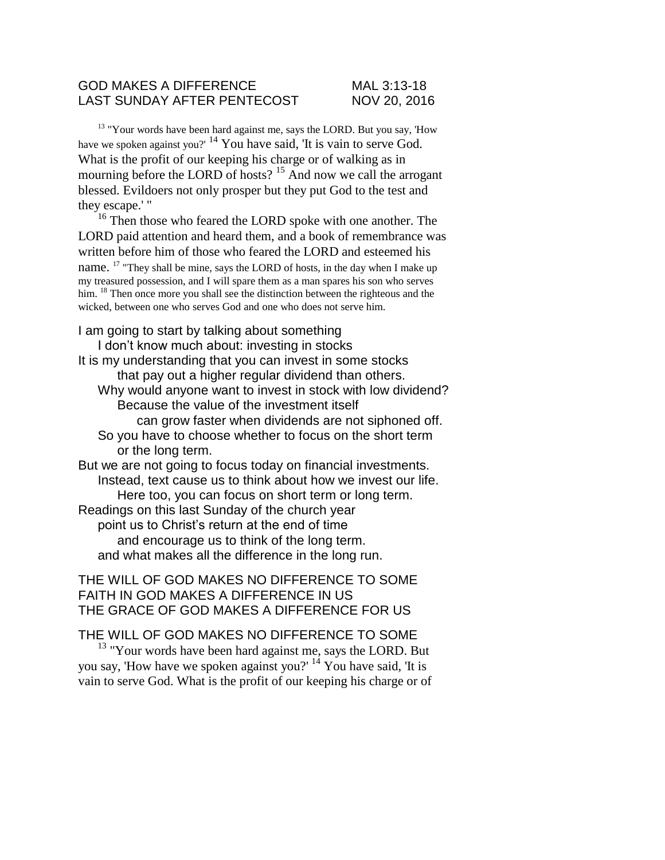### GOD MAKES A DIFFERENCE MAL 3:13-18 LAST SUNDAY AFTER PENTECOST NOV 20, 2016

<sup>13</sup> "Your words have been hard against me, says the LORD. But you say, 'How have we spoken against you?' <sup>14</sup> You have said, 'It is vain to serve God. What is the profit of our keeping his charge or of walking as in mourning before the LORD of hosts?<sup>15</sup> And now we call the arrogant blessed. Evildoers not only prosper but they put God to the test and they escape.' "

<sup>16</sup> Then those who feared the LORD spoke with one another. The LORD paid attention and heard them, and a book of remembrance was written before him of those who feared the LORD and esteemed his name. <sup>17</sup> "They shall be mine, says the LORD of hosts, in the day when I make up my treasured possession, and I will spare them as a man spares his son who serves him. <sup>18</sup> Then once more you shall see the distinction between the righteous and the wicked, between one who serves God and one who does not serve him.

#### I am going to start by talking about something

I don't know much about: investing in stocks It is my understanding that you can invest in some stocks that pay out a higher regular dividend than others. Why would anyone want to invest in stock with low dividend? Because the value of the investment itself can grow faster when dividends are not siphoned off. So you have to choose whether to focus on the short term or the long term. But we are not going to focus today on financial investments. Instead, text cause us to think about how we invest our life. Here too, you can focus on short term or long term. Readings on this last Sunday of the church year

point us to Christ's return at the end of time and encourage us to think of the long term. and what makes all the difference in the long run.

### THE WILL OF GOD MAKES NO DIFFERENCE TO SOME FAITH IN GOD MAKES A DIFFERENCE IN US THE GRACE OF GOD MAKES A DIFFERENCE FOR US

# THE WILL OF GOD MAKES NO DIFFERENCE TO SOME

<sup>13</sup> "Your words have been hard against me, says the LORD. But you say, 'How have we spoken against you?' <sup>14</sup> You have said, 'It is vain to serve God. What is the profit of our keeping his charge or of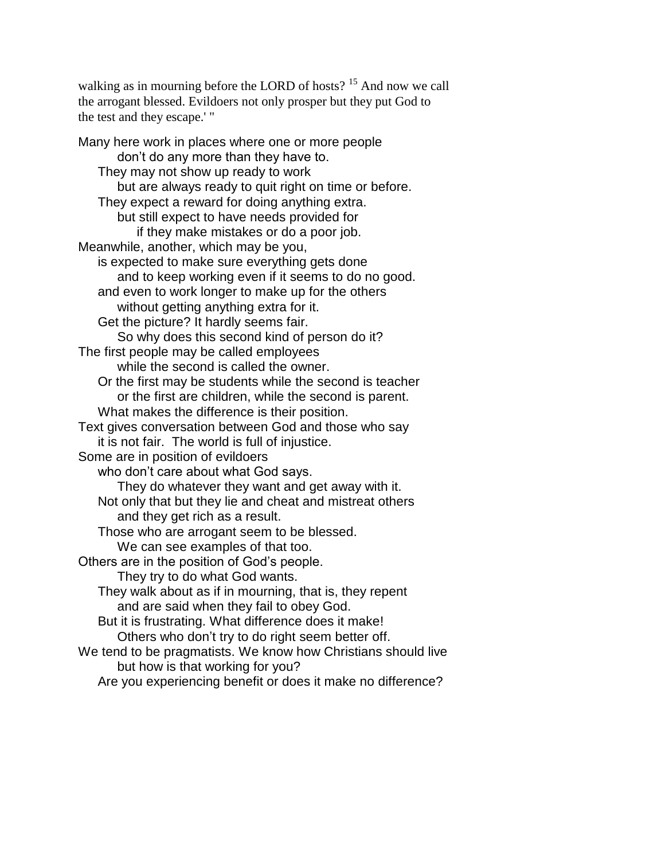walking as in mourning before the LORD of hosts? <sup>15</sup> And now we call the arrogant blessed. Evildoers not only prosper but they put God to the test and they escape.' "

Many here work in places where one or more people don't do any more than they have to. They may not show up ready to work but are always ready to quit right on time or before. They expect a reward for doing anything extra. but still expect to have needs provided for if they make mistakes or do a poor job. Meanwhile, another, which may be you, is expected to make sure everything gets done and to keep working even if it seems to do no good. and even to work longer to make up for the others without getting anything extra for it. Get the picture? It hardly seems fair. So why does this second kind of person do it? The first people may be called employees while the second is called the owner. Or the first may be students while the second is teacher or the first are children, while the second is parent. What makes the difference is their position. Text gives conversation between God and those who say it is not fair. The world is full of injustice. Some are in position of evildoers who don't care about what God says. They do whatever they want and get away with it. Not only that but they lie and cheat and mistreat others and they get rich as a result. Those who are arrogant seem to be blessed. We can see examples of that too. Others are in the position of God's people. They try to do what God wants. They walk about as if in mourning, that is, they repent and are said when they fail to obey God. But it is frustrating. What difference does it make! Others who don't try to do right seem better off. We tend to be pragmatists. We know how Christians should live but how is that working for you? Are you experiencing benefit or does it make no difference?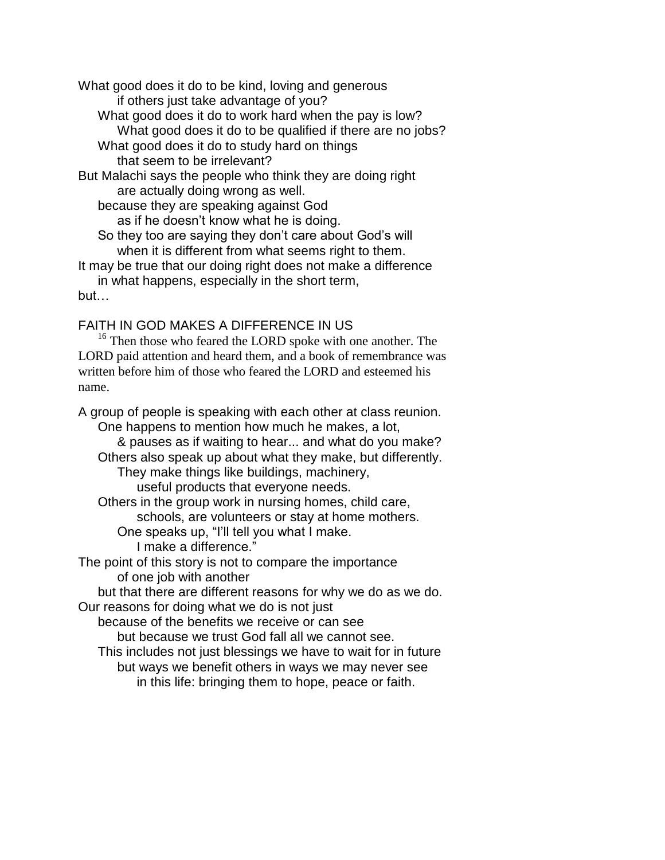What good does it do to be kind, loving and generous if others just take advantage of you?

- What good does it do to work hard when the pay is low? What good does it do to be qualified if there are no jobs?
- What good does it do to study hard on things that seem to be irrelevant?

But Malachi says the people who think they are doing right are actually doing wrong as well.

because they are speaking against God

as if he doesn't know what he is doing.

So they too are saying they don't care about God's will when it is different from what seems right to them.

It may be true that our doing right does not make a difference in what happens, especially in the short term,

but…

FAITH IN GOD MAKES A DIFFERENCE IN US

<sup>16</sup> Then those who feared the LORD spoke with one another. The LORD paid attention and heard them, and a book of remembrance was written before him of those who feared the LORD and esteemed his name.

A group of people is speaking with each other at class reunion. One happens to mention how much he makes, a lot, & pauses as if waiting to hear... and what do you make? Others also speak up about what they make, but differently. They make things like buildings, machinery, useful products that everyone needs. Others in the group work in nursing homes, child care, schools, are volunteers or stay at home mothers. One speaks up, "I'll tell you what I make. I make a difference." The point of this story is not to compare the importance of one job with another but that there are different reasons for why we do as we do. Our reasons for doing what we do is not just because of the benefits we receive or can see but because we trust God fall all we cannot see. This includes not just blessings we have to wait for in future but ways we benefit others in ways we may never see

in this life: bringing them to hope, peace or faith.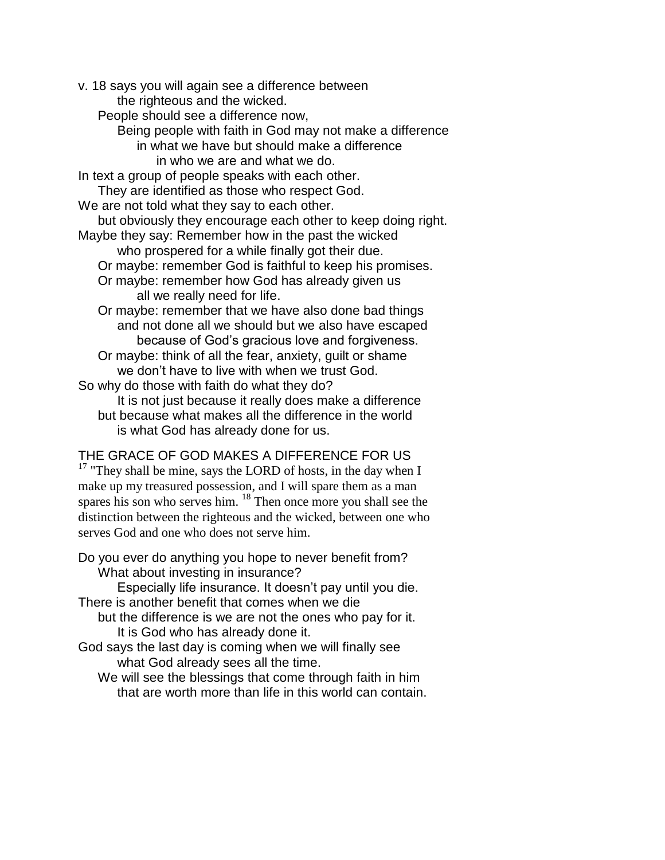v. 18 says you will again see a difference between the righteous and the wicked. People should see a difference now, Being people with faith in God may not make a difference in what we have but should make a difference in who we are and what we do. In text a group of people speaks with each other. They are identified as those who respect God. We are not told what they say to each other. but obviously they encourage each other to keep doing right. Maybe they say: Remember how in the past the wicked who prospered for a while finally got their due. Or maybe: remember God is faithful to keep his promises. Or maybe: remember how God has already given us all we really need for life. Or maybe: remember that we have also done bad things and not done all we should but we also have escaped because of God's gracious love and forgiveness. Or maybe: think of all the fear, anxiety, guilt or shame we don't have to live with when we trust God. So why do those with faith do what they do? It is not just because it really does make a difference but because what makes all the difference in the world is what God has already done for us.

## THE GRACE OF GOD MAKES A DIFFERENCE FOR US

 $17$  "They shall be mine, says the LORD of hosts, in the day when I make up my treasured possession, and I will spare them as a man spares his son who serves him. <sup>18</sup> Then once more you shall see the distinction between the righteous and the wicked, between one who serves God and one who does not serve him.

Do you ever do anything you hope to never benefit from? What about investing in insurance?

Especially life insurance. It doesn't pay until you die. There is another benefit that comes when we die

but the difference is we are not the ones who pay for it. It is God who has already done it.

- God says the last day is coming when we will finally see what God already sees all the time.
	- We will see the blessings that come through faith in him that are worth more than life in this world can contain.